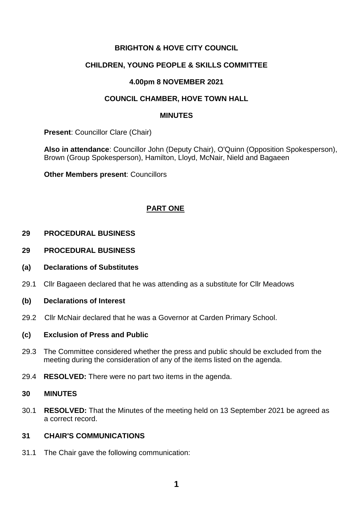# **BRIGHTON & HOVE CITY COUNCIL**

## **CHILDREN, YOUNG PEOPLE & SKILLS COMMITTEE**

### **4.00pm 8 NOVEMBER 2021**

## **COUNCIL CHAMBER, HOVE TOWN HALL**

#### **MINUTES**

**Present**: Councillor Clare (Chair)

**Also in attendance**: Councillor John (Deputy Chair), O'Quinn (Opposition Spokesperson), Brown (Group Spokesperson), Hamilton, Lloyd, McNair, Nield and Bagaeen

**Other Members present**: Councillors

# **PART ONE**

#### **29 PROCEDURAL BUSINESS**

- **29 PROCEDURAL BUSINESS**
- **(a) Declarations of Substitutes**
- 29.1 Cllr Bagaeen declared that he was attending as a substitute for Cllr Meadows

#### **(b) Declarations of Interest**

29.2 Cllr McNair declared that he was a Governor at Carden Primary School.

#### **(c) Exclusion of Press and Public**

- 29.3 The Committee considered whether the press and public should be excluded from the meeting during the consideration of any of the items listed on the agenda.
- 29.4 **RESOLVED:** There were no part two items in the agenda.

#### **30 MINUTES**

30.1 **RESOLVED:** That the Minutes of the meeting held on 13 September 2021 be agreed as a correct record.

### **31 CHAIR'S COMMUNICATIONS**

31.1 The Chair gave the following communication: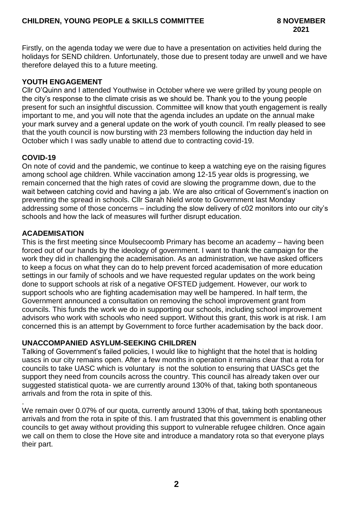Firstly, on the agenda today we were due to have a presentation on activities held during the holidays for SEND children. Unfortunately, those due to present today are unwell and we have therefore delayed this to a future meeting.

## **YOUTH ENGAGEMENT**

Cllr O'Quinn and I attended Youthwise in October where we were grilled by young people on the city's response to the climate crisis as we should be. Thank you to the young people present for such an insightful discussion. Committee will know that youth engagement is really important to me, and you will note that the agenda includes an update on the annual make your mark survey and a general update on the work of youth council. I'm really pleased to see that the youth council is now bursting with 23 members following the induction day held in October which I was sadly unable to attend due to contracting covid-19.

# **COVID-19**

On note of covid and the pandemic, we continue to keep a watching eye on the raising figures among school age children. While vaccination among 12-15 year olds is progressing, we remain concerned that the high rates of covid are slowing the programme down, due to the wait between catching covid and having a jab. We are also critical of Government's inaction on preventing the spread in schools. Cllr Sarah Nield wrote to Government last Monday addressing some of those concerns – including the slow delivery of c02 monitors into our city's schools and how the lack of measures will further disrupt education.

### **ACADEMISATION**

This is the first meeting since Moulsecoomb Primary has become an academy – having been forced out of our hands by the ideology of government. I want to thank the campaign for the work they did in challenging the academisation. As an administration, we have asked officers to keep a focus on what they can do to help prevent forced academisation of more education settings in our family of schools and we have requested regular updates on the work being done to support schools at risk of a negative OFSTED judgement. However, our work to support schools who are fighting academisation may well be hampered. In half term, the Government announced a consultation on removing the school improvement grant from councils. This funds the work we do in supporting our schools, including school improvement advisors who work with schools who need support. Without this grant, this work is at risk. I am concerned this is an attempt by Government to force further academisation by the back door.

### **UNACCOMPANIED ASYLUM-SEEKING CHILDREN**

Talking of Government's failed policies, I would like to highlight that the hotel that is holding uascs in our city remains open. After a few months in operation it remains clear that a rota for councils to take UASC which is voluntary is not the solution to ensuring that UASCs get the support they need from councils across the country. This council has already taken over our suggested statistical quota- we are currently around 130% of that, taking both spontaneous arrivals and from the rota in spite of this*.*

. We remain over 0.07% of our quota, currently around 130% of that, taking both spontaneous arrivals and from the rota in spite of this. I am frustrated that this government is enabling other councils to get away without providing this support to vulnerable refugee children. Once again we call on them to close the Hove site and introduce a mandatory rota so that everyone plays their part.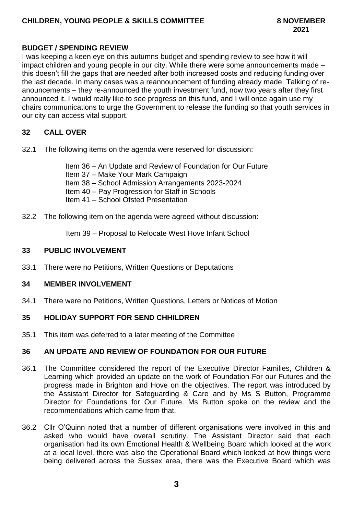## **CHILDREN, YOUNG PEOPLE & SKILLS COMMITTEE 8 NOVEMBER**

# **BUDGET / SPENDING REVIEW**

I was keeping a keen eye on this autumns budget and spending review to see how it will impact children and young people in our city. While there were some announcements made – this doesn't fill the gaps that are needed after both increased costs and reducing funding over the last decade. In many cases was a reannouncement of funding already made. Talking of reanouncements – they re-announced the youth investment fund, now two years after they first announced it. I would really like to see progress on this fund, and I will once again use my chairs communications to urge the Government to release the funding so that youth services in our city can access vital support.

### **32 CALL OVER**

32.1 The following items on the agenda were reserved for discussion:

Item 36 – An Update and Review of Foundation for Our Future Item 37 – Make Your Mark Campaign Item 38 – School Admission Arrangements 2023-2024 Item 40 – Pay Progression for Staff in Schools Item 41 – School Ofsted Presentation

32.2 The following item on the agenda were agreed without discussion:

Item 39 – Proposal to Relocate West Hove Infant School

### **33 PUBLIC INVOLVEMENT**

33.1 There were no Petitions, Written Questions or Deputations

### **34 MEMBER INVOLVEMENT**

34.1 There were no Petitions, Written Questions, Letters or Notices of Motion

### **35 HOLIDAY SUPPORT FOR SEND CHHILDREN**

35.1 This item was deferred to a later meeting of the Committee

## **36 AN UPDATE AND REVIEW OF FOUNDATION FOR OUR FUTURE**

- 36.1 The Committee considered the report of the Executive Director Families, Children & Learning which provided an update on the work of Foundation For our Futures and the progress made in Brighton and Hove on the objectives. The report was introduced by the Assistant Director for Safeguarding & Care and by Ms S Button, Programme Director for Foundations for Our Future. Ms Button spoke on the review and the recommendations which came from that.
- 36.2 Cllr O'Quinn noted that a number of different organisations were involved in this and asked who would have overall scrutiny. The Assistant Director said that each organisation had its own Emotional Health & Wellbeing Board which looked at the work at a local level, there was also the Operational Board which looked at how things were being delivered across the Sussex area, there was the Executive Board which was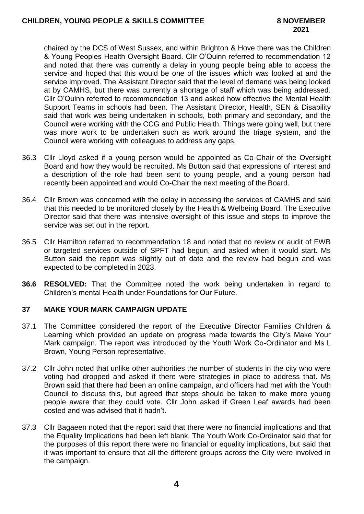chaired by the DCS of West Sussex, and within Brighton & Hove there was the Children & Young Peoples Health Oversight Board. Cllr O'Quinn referred to recommendation 12 and noted that there was currently a delay in young people being able to access the service and hoped that this would be one of the issues which was looked at and the service improved. The Assistant Director said that the level of demand was being looked at by CAMHS, but there was currently a shortage of staff which was being addressed. Cllr O'Quinn referred to recommendation 13 and asked how effective the Mental Health Support Teams in schools had been. The Assistant Director, Health, SEN & Disability said that work was being undertaken in schools, both primary and secondary, and the Council were working with the CCG and Public Health. Things were going well, but there was more work to be undertaken such as work around the triage system, and the Council were working with colleagues to address any gaps.

- 36.3 Cllr Lloyd asked if a young person would be appointed as Co-Chair of the Oversight Board and how they would be recruited. Ms Button said that expressions of interest and a description of the role had been sent to young people, and a young person had recently been appointed and would Co-Chair the next meeting of the Board.
- 36.4 Cllr Brown was concerned with the delay in accessing the services of CAMHS and said that this needed to be monitored closely by the Health & Welbeing Board. The Executive Director said that there was intensive oversight of this issue and steps to improve the service was set out in the report.
- 36.5 Cllr Hamilton referred to recommendation 18 and noted that no review or audit of EWB or targeted services outside of SPFT had begun, and asked when it would start. Ms Button said the report was slightly out of date and the review had begun and was expected to be completed in 2023.
- **36.6 RESOLVED:** That the Committee noted the work being undertaken in regard to Children's mental Health under Foundations for Our Future.

# **37 MAKE YOUR MARK CAMPAIGN UPDATE**

- 37.1 The Committee considered the report of the Executive Director Families Children & Learning which provided an update on progress made towards the City's Make Your Mark campaign. The report was introduced by the Youth Work Co-Ordinator and Ms L Brown, Young Person representative.
- 37.2 Cllr John noted that unlike other authorities the number of students in the city who were voting had dropped and asked if there were strategies in place to address that. Ms Brown said that there had been an online campaign, and officers had met with the Youth Council to discuss this, but agreed that steps should be taken to make more young people aware that they could vote. Cllr John asked if Green Leaf awards had been costed and was advised that it hadn't.
- 37.3 Cllr Bagaeen noted that the report said that there were no financial implications and that the Equality Implications had been left blank. The Youth Work Co-Ordinator said that for the purposes of this report there were no financial or equality implications, but said that it was important to ensure that all the different groups across the City were involved in the campaign.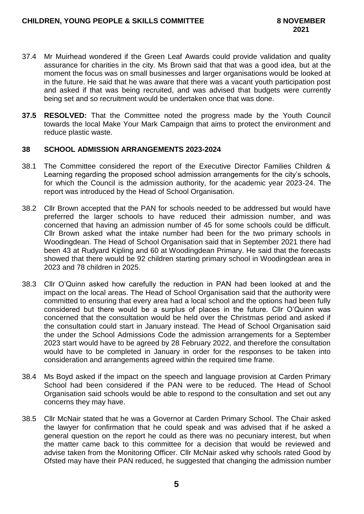- 37.4 Mr Muirhead wondered if the Green Leaf Awards could provide validation and quality assurance for charities in the city. Ms Brown said that that was a good idea, but at the moment the focus was on small businesses and larger organisations would be looked at in the future. He said that he was aware that there was a vacant youth participation post and asked if that was being recruited, and was advised that budgets were currently being set and so recruitment would be undertaken once that was done.
- **37.5 RESOLVED:** That the Committee noted the progress made by the Youth Council towards the local Make Your Mark Campaign that aims to protect the environment and reduce plastic waste.

#### **38 SCHOOL ADMISSION ARRANGEMENTS 2023-2024**

- 38.1 The Committee considered the report of the Executive Director Families Children & Learning regarding the proposed school admission arrangements for the city's schools, for which the Council is the admission authority, for the academic year 2023-24. The report was introduced by the Head of School Organisation.
- 38.2 Cllr Brown accepted that the PAN for schools needed to be addressed but would have preferred the larger schools to have reduced their admission number, and was concerned that having an admission number of 45 for some schools could be difficult. Cllr Brown asked what the intake number had been for the two primary schools in Woodingdean. The Head of School Organisation said that in September 2021 there had been 43 at Rudyard Kipling and 60 at Woodingdean Primary. He said that the forecasts showed that there would be 92 children starting primary school in Woodingdean area in 2023 and 78 children in 2025.
- 38.3 Cllr O'Quinn asked how carefully the reduction in PAN had been looked at and the impact on the local areas. The Head of School Organisation said that the authority were committed to ensuring that every area had a local school and the options had been fully considered but there would be a surplus of places in the future. Cllr O'Quinn was concerned that the consultation would be held over the Christmas period and asked if the consultation could start in January instead. The Head of School Organisation said the under the School Admissions Code the admission arrangements for a September 2023 start would have to be agreed by 28 February 2022, and therefore the consultation would have to be completed in January in order for the responses to be taken into consideration and arrangements agreed within the required time frame.
- 38.4 Ms Boyd asked if the impact on the speech and language provision at Carden Primary School had been considered if the PAN were to be reduced. The Head of School Organisation said schools would be able to respond to the consultation and set out any concerns they may have.
- 38.5 Cllr McNair stated that he was a Governor at Carden Primary School. The Chair asked the lawyer for confirmation that he could speak and was advised that if he asked a general question on the report he could as there was no pecuniary interest, but when the matter came back to this committee for a decision that would be reviewed and advise taken from the Monitoring Officer. Cllr McNair asked why schools rated Good by Ofsted may have their PAN reduced, he suggested that changing the admission number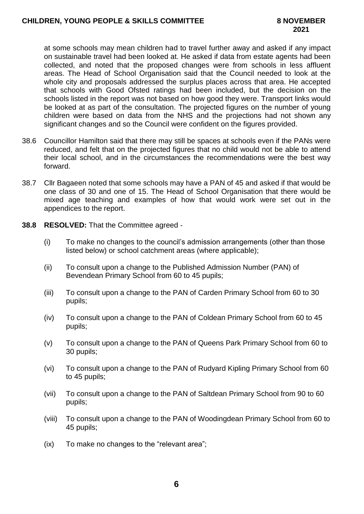at some schools may mean children had to travel further away and asked if any impact on sustainable travel had been looked at. He asked if data from estate agents had been collected, and noted that the proposed changes were from schools in less affluent areas. The Head of School Organisation said that the Council needed to look at the whole city and proposals addressed the surplus places across that area. He accepted that schools with Good Ofsted ratings had been included, but the decision on the schools listed in the report was not based on how good they were. Transport links would be looked at as part of the consultation. The projected figures on the number of young children were based on data from the NHS and the projections had not shown any significant changes and so the Council were confident on the figures provided.

- 38.6 Councillor Hamilton said that there may still be spaces at schools even if the PANs were reduced, and felt that on the projected figures that no child would not be able to attend their local school, and in the circumstances the recommendations were the best way forward.
- 38.7 Cllr Bagaeen noted that some schools may have a PAN of 45 and asked if that would be one class of 30 and one of 15. The Head of School Organisation that there would be mixed age teaching and examples of how that would work were set out in the appendices to the report.
- **38.8 RESOLVED:** That the Committee agreed
	- (i) To make no changes to the council's admission arrangements (other than those listed below) or school catchment areas (where applicable);
	- (ii) To consult upon a change to the Published Admission Number (PAN) of Bevendean Primary School from 60 to 45 pupils;
	- (iii) To consult upon a change to the PAN of Carden Primary School from 60 to 30 pupils;
	- (iv) To consult upon a change to the PAN of Coldean Primary School from 60 to 45 pupils;
	- (v) To consult upon a change to the PAN of Queens Park Primary School from 60 to 30 pupils;
	- (vi) To consult upon a change to the PAN of Rudyard Kipling Primary School from 60 to 45 pupils;
	- (vii) To consult upon a change to the PAN of Saltdean Primary School from 90 to 60 pupils;
	- (viii) To consult upon a change to the PAN of Woodingdean Primary School from 60 to 45 pupils;
	- (ix) To make no changes to the "relevant area";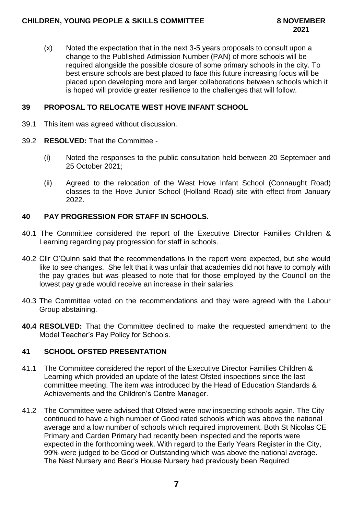(x) Noted the expectation that in the next 3-5 years proposals to consult upon a change to the Published Admission Number (PAN) of more schools will be required alongside the possible closure of some primary schools in the city. To best ensure schools are best placed to face this future increasing focus will be placed upon developing more and larger collaborations between schools which it is hoped will provide greater resilience to the challenges that will follow.

# **39 PROPOSAL TO RELOCATE WEST HOVE INFANT SCHOOL**

- 39.1 This item was agreed without discussion.
- 39.2 **RESOLVED:** That the Committee
	- (i) Noted the responses to the public consultation held between 20 September and 25 October 2021;
	- (ii) Agreed to the relocation of the West Hove Infant School (Connaught Road) classes to the Hove Junior School (Holland Road) site with effect from January 2022.

# **40 PAY PROGRESSION FOR STAFF IN SCHOOLS.**

- 40.1 The Committee considered the report of the Executive Director Families Children & Learning regarding pay progression for staff in schools.
- 40.2 Cllr O'Quinn said that the recommendations in the report were expected, but she would like to see changes. She felt that it was unfair that academies did not have to comply with the pay grades but was pleased to note that for those employed by the Council on the lowest pay grade would receive an increase in their salaries.
- 40.3 The Committee voted on the recommendations and they were agreed with the Labour Group abstaining.
- **40.4 RESOLVED:** That the Committee declined to make the requested amendment to the Model Teacher's Pay Policy for Schools.

## **41 SCHOOL OFSTED PRESENTATION**

- 41.1 The Committee considered the report of the Executive Director Families Children & Learning which provided an update of the latest Ofsted inspections since the last committee meeting. The item was introduced by the Head of Education Standards & Achievements and the Children's Centre Manager.
- 41.2 The Committee were advised that Ofsted were now inspecting schools again. The City continued to have a high number of Good rated schools which was above the national average and a low number of schools which required improvement. Both St Nicolas CE Primary and Carden Primary had recently been inspected and the reports were expected in the forthcoming week. With regard to the Early Years Register in the City, 99% were judged to be Good or Outstanding which was above the national average. The Nest Nursery and Bear's House Nursery had previously been Required